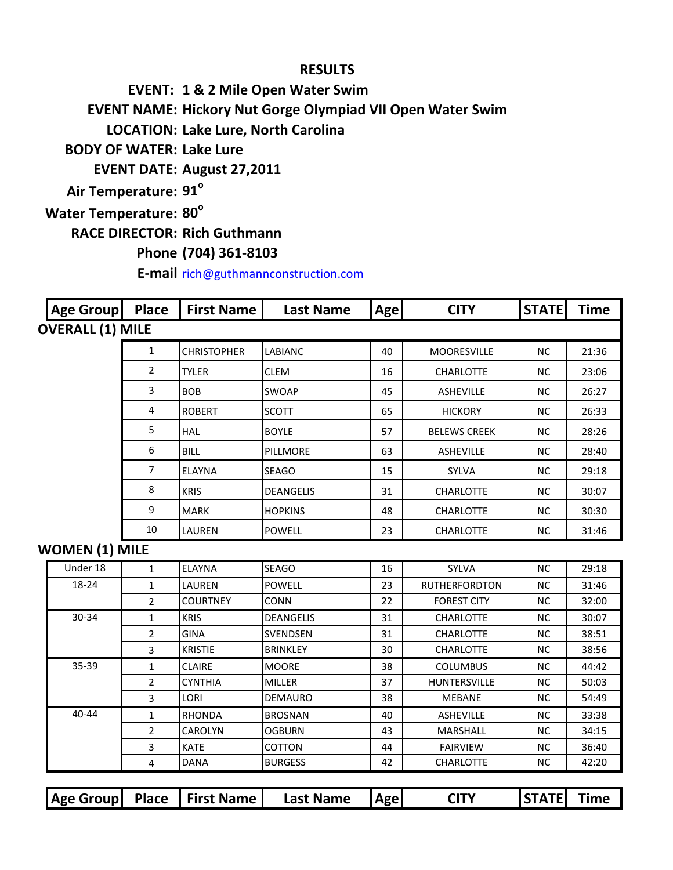## **RESULTS**

**EVENT: 1 & 2 Mile Open Water Swim**

**EVENT NAME: Hickory Nut Gorge Olympiad VII Open Water Swim**

**LOCATION: Lake Lure, North Carolina**

**BODY OF WATER: Lake Lure**

**EVENT DATE: August 27,2011**

**Air Temperature: 91<sup>°</sup>** 

**Water Temperature: 80<sup>°</sup>** 

**RACE DIRECTOR: Rich Guthmann**

## **Phone (704) 361-8103**

**E-mail** [rich@guthmannconstruction.com](mailto:rich@guthmannconstruction.com)

| <b>Age Group</b>        | <b>Place</b> | <b>First Name</b>  | <b>Last Name</b> | <b>Age</b> | <b>CITY</b>         | <b>STATE</b> | <b>Time</b> |
|-------------------------|--------------|--------------------|------------------|------------|---------------------|--------------|-------------|
| <b>OVERALL (1) MILE</b> |              |                    |                  |            |                     |              |             |
|                         | 1            | <b>CHRISTOPHER</b> | <b>LABIANC</b>   | 40         | <b>MOORESVILLE</b>  | NC.          | 21:36       |
|                         | 2            | <b>TYLER</b>       | <b>CLEM</b>      | 16         | <b>CHARLOTTE</b>    | <b>NC</b>    | 23:06       |
|                         | 3            | <b>BOB</b>         | <b>SWOAP</b>     | 45         | <b>ASHEVILLE</b>    | <b>NC</b>    | 26:27       |
|                         | 4            | <b>ROBERT</b>      | <b>SCOTT</b>     | 65         | <b>HICKORY</b>      | <b>NC</b>    | 26:33       |
|                         | 5            | <b>HAL</b>         | <b>BOYLE</b>     | 57         | <b>BELEWS CREEK</b> | <b>NC</b>    | 28:26       |
|                         | 6            | <b>BILL</b>        | <b>PILLMORE</b>  | 63         | <b>ASHEVILLE</b>    | <b>NC</b>    | 28:40       |
|                         | 7            | <b>ELAYNA</b>      | <b>SEAGO</b>     | 15         | <b>SYLVA</b>        | <b>NC</b>    | 29:18       |
|                         | 8            | <b>KRIS</b>        | <b>DEANGELIS</b> | 31         | <b>CHARLOTTE</b>    | NC.          | 30:07       |
|                         | 9            | <b>MARK</b>        | <b>HOPKINS</b>   | 48         | <b>CHARLOTTE</b>    | NC.          | 30:30       |
|                         | 10           | LAUREN             | <b>POWELL</b>    | 23         | <b>CHARLOTTE</b>    | <b>NC</b>    | 31:46       |

## **WOMEN (1) MILE**

| Under 18  |                | <b>ELAYNA</b>   | <b>SEAGO</b>     | 16 | <b>SYLVA</b>         | NC.       | 29:18 |
|-----------|----------------|-----------------|------------------|----|----------------------|-----------|-------|
| 18-24     |                | LAUREN          | <b>POWELL</b>    | 23 | <b>RUTHERFORDTON</b> | NC.       | 31:46 |
|           | $\mathbf{2}$   | <b>COURTNEY</b> | <b>CONN</b>      | 22 | <b>FOREST CITY</b>   | <b>NC</b> | 32:00 |
| 30-34     | 1              | <b>KRIS</b>     | <b>DEANGELIS</b> | 31 | <b>CHARLOTTE</b>     | NC.       | 30:07 |
|           | $\mathbf{2}$   | <b>GINA</b>     | SVENDSEN         | 31 | <b>CHARLOTTE</b>     | NC.       | 38:51 |
|           | 3              | <b>KRISTIE</b>  | <b>BRINKLEY</b>  | 30 | <b>CHARLOTTE</b>     | NC.       | 38:56 |
| 35-39     |                | <b>CLAIRE</b>   | <b>MOORE</b>     | 38 | <b>COLUMBUS</b>      | NC.       | 44:42 |
|           | $\overline{2}$ | <b>CYNTHIA</b>  | <b>MILLER</b>    | 37 | <b>HUNTERSVILLE</b>  | NC.       | 50:03 |
|           | 3              | LORI            | <b>DEMAURO</b>   | 38 | <b>MEBANE</b>        | NC.       | 54:49 |
| $40 - 44$ |                | <b>RHONDA</b>   | <b>BROSNAN</b>   | 40 | <b>ASHEVILLE</b>     | NC.       | 33:38 |
|           | $\mathbf{2}$   | <b>CAROLYN</b>  | <b>OGBURN</b>    | 43 | MARSHALL             | NC.       | 34:15 |
|           | 3              | <b>KATE</b>     | <b>COTTON</b>    | 44 | <b>FAIRVIEW</b>      | NC.       | 36:40 |
|           | 4              | <b>DANA</b>     | <b>BURGESS</b>   | 42 | <b>CHARLOTTE</b>     | NC.       | 42:20 |

|  |  |  | Age Group Place   First Name | <b>Last Name</b> | <b>Agel</b> |  | <b>ISTATEL</b> | <b>Time</b> |
|--|--|--|------------------------------|------------------|-------------|--|----------------|-------------|
|--|--|--|------------------------------|------------------|-------------|--|----------------|-------------|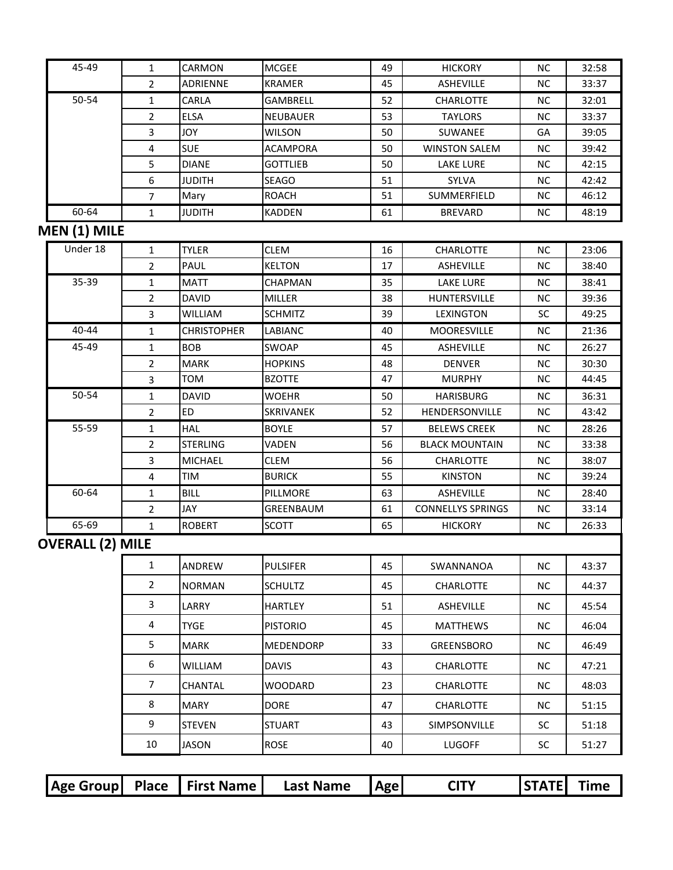| 45-49                   | 1              | CARMON             | <b>MCGEE</b>    | 49 | <b>HICKORY</b>           | NC.       | 32:58 |
|-------------------------|----------------|--------------------|-----------------|----|--------------------------|-----------|-------|
|                         | 2              | ADRIENNE           | <b>KRAMER</b>   | 45 | <b>ASHEVILLE</b>         | <b>NC</b> | 33:37 |
| 50-54                   | $\mathbf{1}$   | CARLA              | <b>GAMBRELL</b> | 52 | <b>CHARLOTTE</b>         | NC.       | 32:01 |
|                         | 2              | <b>ELSA</b>        | <b>NEUBAUER</b> | 53 | <b>TAYLORS</b>           | <b>NC</b> | 33:37 |
|                         | 3              | <b>JOY</b>         | <b>WILSON</b>   | 50 | SUWANEE                  | GA        | 39:05 |
|                         | 4              | <b>SUE</b>         | <b>ACAMPORA</b> | 50 | <b>WINSTON SALEM</b>     | <b>NC</b> | 39:42 |
|                         | 5              | <b>DIANE</b>       | <b>GOTTLIEB</b> | 50 | <b>LAKE LURE</b>         | <b>NC</b> | 42:15 |
|                         | 6              | JUDITH             | <b>SEAGO</b>    | 51 | <b>SYLVA</b>             | <b>NC</b> | 42:42 |
|                         | $\overline{7}$ | Mary               | <b>ROACH</b>    | 51 | SUMMERFIELD              | <b>NC</b> | 46:12 |
| 60-64                   | $\mathbf{1}$   | <b>JUDITH</b>      | <b>KADDEN</b>   | 61 | <b>BREVARD</b>           | ΝC        | 48:19 |
| MEN (1) MILE            |                |                    |                 |    |                          |           |       |
| Under 18                | 1              | <b>TYLER</b>       | <b>CLEM</b>     | 16 | <b>CHARLOTTE</b>         | <b>NC</b> | 23:06 |
|                         | $\overline{2}$ | PAUL               | <b>KELTON</b>   | 17 | <b>ASHEVILLE</b>         | <b>NC</b> | 38:40 |
| 35-39                   | 1              | <b>MATT</b>        | CHAPMAN         | 35 | <b>LAKE LURE</b>         | <b>NC</b> | 38:41 |
|                         | $\overline{2}$ | <b>DAVID</b>       | MILLER          | 38 | <b>HUNTERSVILLE</b>      | NC.       | 39:36 |
|                         | 3              | <b>WILLIAM</b>     | <b>SCHMITZ</b>  | 39 | <b>LEXINGTON</b>         | SC        | 49:25 |
| 40-44                   | $\mathbf{1}$   | <b>CHRISTOPHER</b> | LABIANC         | 40 | <b>MOORESVILLE</b>       | <b>NC</b> | 21:36 |
| 45-49                   | $\mathbf{1}$   | <b>BOB</b>         | SWOAP           | 45 | <b>ASHEVILLE</b>         | <b>NC</b> | 26:27 |
|                         | 2              | <b>MARK</b>        | <b>HOPKINS</b>  | 48 | <b>DENVER</b>            | <b>NC</b> | 30:30 |
|                         | 3              | TOM                | <b>BZOTTE</b>   | 47 | <b>MURPHY</b>            | <b>NC</b> | 44:45 |
| 50-54                   | $\mathbf{1}$   | <b>DAVID</b>       | <b>WOEHR</b>    | 50 | <b>HARISBURG</b>         | <b>NC</b> | 36:31 |
|                         | $\overline{2}$ | ED                 | SKRIVANEK       | 52 | HENDERSONVILLE           | <b>NC</b> | 43:42 |
| 55-59                   | $\mathbf{1}$   | <b>HAL</b>         | <b>BOYLE</b>    | 57 | <b>BELEWS CREEK</b>      | NC.       | 28:26 |
|                         | 2              | <b>STERLING</b>    | VADEN           | 56 | <b>BLACK MOUNTAIN</b>    | <b>NC</b> | 33:38 |
|                         | 3              | <b>MICHAEL</b>     | <b>CLEM</b>     | 56 | <b>CHARLOTTE</b>         | <b>NC</b> | 38:07 |
|                         | 4              | TIM                | <b>BURICK</b>   | 55 | <b>KINSTON</b>           | <b>NC</b> | 39:24 |
| 60-64                   | 1              | <b>BILL</b>        | PILLMORE        | 63 | <b>ASHEVILLE</b>         | <b>NC</b> | 28:40 |
|                         | $\overline{2}$ | JAY                | GREENBAUM       | 61 | <b>CONNELLYS SPRINGS</b> | <b>NC</b> | 33:14 |
| 65-69                   | 1              | <b>ROBERT</b>      | <b>SCOTT</b>    | 65 | <b>HICKORY</b>           | <b>NC</b> | 26:33 |
| <b>OVERALL (2) MILE</b> |                |                    |                 |    |                          |           |       |
|                         | $\mathbf{1}$   | ANDREW             | <b>PULSIFER</b> | 45 | SWANNANOA                | NC        | 43:37 |
|                         | $\overline{2}$ | <b>NORMAN</b>      | <b>SCHULTZ</b>  | 45 | <b>CHARLOTTE</b>         | <b>NC</b> | 44:37 |
|                         | 3              | LARRY              | <b>HARTLEY</b>  | 51 | ASHEVILLE                | NC        | 45:54 |
|                         | $\overline{4}$ | <b>TYGE</b>        | <b>PISTORIO</b> | 45 | <b>MATTHEWS</b>          | <b>NC</b> | 46:04 |
|                         | 5              | <b>MARK</b>        | MEDENDORP       | 33 | GREENSBORO               | NC        | 46:49 |
|                         | 6              | <b>WILLIAM</b>     | <b>DAVIS</b>    | 43 | <b>CHARLOTTE</b>         | <b>NC</b> | 47:21 |
|                         | $\overline{7}$ | CHANTAL            | <b>WOODARD</b>  | 23 | <b>CHARLOTTE</b>         | <b>NC</b> | 48:03 |
|                         | 8              | <b>MARY</b>        | <b>DORE</b>     | 47 | <b>CHARLOTTE</b>         | <b>NC</b> | 51:15 |
|                         | 9              | <b>STEVEN</b>      | <b>STUART</b>   | 43 | SIMPSONVILLE             | SC.       | 51:18 |
|                         | 10             | <b>JASON</b>       | ROSE            | 40 | <b>LUGOFF</b>            | SC        | 51:27 |
|                         |                |                    |                 |    |                          |           |       |

| Age Group Place   First Name |  |  |  | <b>Last Name</b> | Age | <b>CITY</b> | <b>ISTATEL Time</b> |  |
|------------------------------|--|--|--|------------------|-----|-------------|---------------------|--|
|------------------------------|--|--|--|------------------|-----|-------------|---------------------|--|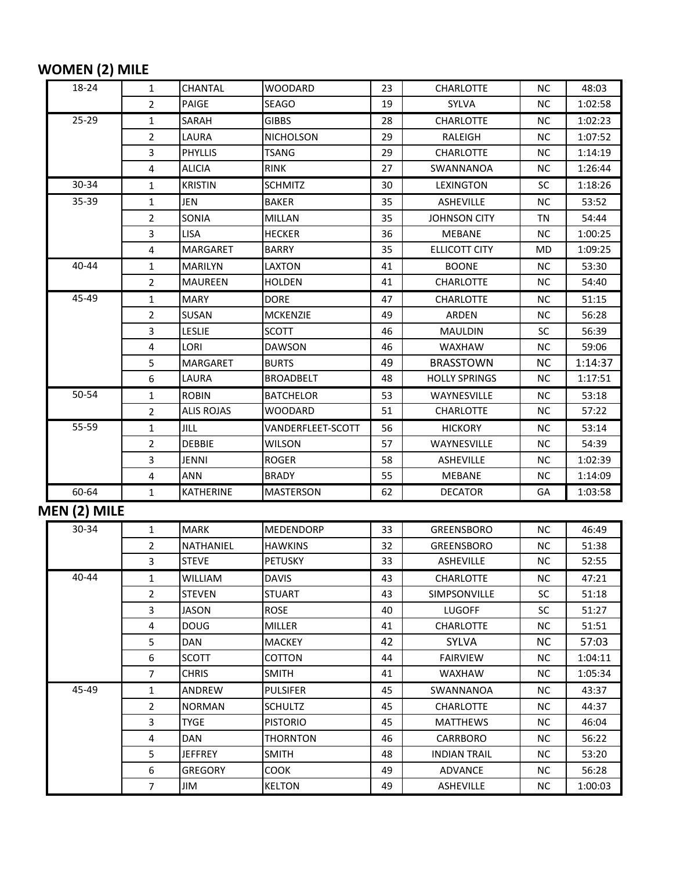## **WOMEN (2) MILE**

| 18-24        | 1                       | CHANTAL           | <b>WOODARD</b>    | 23 | <b>CHARLOTTE</b>     | <b>NC</b> | 48:03   |
|--------------|-------------------------|-------------------|-------------------|----|----------------------|-----------|---------|
|              | 2                       | PAIGE             | <b>SEAGO</b>      | 19 | SYLVA                | <b>NC</b> | 1:02:58 |
| $25 - 29$    | 1                       | SARAH             | <b>GIBBS</b>      | 28 | <b>CHARLOTTE</b>     | <b>NC</b> | 1:02:23 |
|              | 2                       | LAURA             | <b>NICHOLSON</b>  | 29 | RALEIGH              | <b>NC</b> | 1:07:52 |
|              | 3                       | <b>PHYLLIS</b>    | <b>TSANG</b>      | 29 | <b>CHARLOTTE</b>     | <b>NC</b> | 1:14:19 |
|              | 4                       | <b>ALICIA</b>     | <b>RINK</b>       | 27 | SWANNANOA            | <b>NC</b> | 1:26:44 |
| 30-34        | $\mathbf{1}$            | <b>KRISTIN</b>    | <b>SCHMITZ</b>    | 30 | <b>LEXINGTON</b>     | SC.       | 1:18:26 |
| 35-39        | $\mathbf{1}$            | JEN               | <b>BAKER</b>      | 35 | <b>ASHEVILLE</b>     | <b>NC</b> | 53:52   |
|              | 2                       | SONIA             | <b>MILLAN</b>     | 35 | <b>JOHNSON CITY</b>  | ΤN        | 54:44   |
|              | 3                       | <b>LISA</b>       | <b>HECKER</b>     | 36 | MEBANE               | <b>NC</b> | 1:00:25 |
|              | 4                       | <b>MARGARET</b>   | <b>BARRY</b>      | 35 | <b>ELLICOTT CITY</b> | <b>MD</b> | 1:09:25 |
| 40-44        | $\mathbf{1}$            | <b>MARILYN</b>    | LAXTON            | 41 | <b>BOONE</b>         | NС        | 53:30   |
|              | $\overline{2}$          | <b>MAUREEN</b>    | <b>HOLDEN</b>     | 41 | <b>CHARLOTTE</b>     | <b>NC</b> | 54:40   |
| 45-49        | 1                       | <b>MARY</b>       | <b>DORE</b>       | 47 | <b>CHARLOTTE</b>     | NС        | 51:15   |
|              | 2                       | SUSAN             | <b>MCKENZIE</b>   | 49 | ARDEN                | <b>NC</b> | 56:28   |
|              | 3                       | <b>LESLIE</b>     | SCOTT             | 46 | MAULDIN              | <b>SC</b> | 56:39   |
|              | 4                       | LORI              | <b>DAWSON</b>     | 46 | <b>WAXHAW</b>        | <b>NC</b> | 59:06   |
|              | 5                       | MARGARET          | <b>BURTS</b>      | 49 | <b>BRASSTOWN</b>     | NC.       | 1:14:37 |
|              | 6                       | LAURA             | <b>BROADBELT</b>  | 48 | <b>HOLLY SPRINGS</b> | <b>NC</b> | 1:17:51 |
| 50-54        | $\mathbf{1}$            | <b>ROBIN</b>      | <b>BATCHELOR</b>  | 53 | WAYNESVILLE          | <b>NC</b> | 53:18   |
|              | $\overline{2}$          | <b>ALIS ROJAS</b> | <b>WOODARD</b>    | 51 | <b>CHARLOTTE</b>     | <b>NC</b> | 57:22   |
| 55-59        | $\mathbf{1}$            | JILL              | VANDERFLEET-SCOTT | 56 | <b>HICKORY</b>       | <b>NC</b> | 53:14   |
|              | 2                       | <b>DEBBIE</b>     | <b>WILSON</b>     | 57 | WAYNESVILLE          | <b>NC</b> | 54:39   |
|              | 3                       | JENNI             | <b>ROGER</b>      | 58 | <b>ASHEVILLE</b>     | <b>NC</b> | 1:02:39 |
|              | 4                       | ANN               | <b>BRADY</b>      | 55 | MEBANE               | <b>NC</b> | 1:14:09 |
| 60-64        | 1                       | KATHERINE         | <b>MASTERSON</b>  | 62 | <b>DECATOR</b>       | GА        | 1:03:58 |
| MEN (2) MILE |                         |                   |                   |    |                      |           |         |
| $30 - 34$    | 1                       | <b>MARK</b>       | <b>MEDENDORP</b>  | 33 | GREENSBORO           | <b>NC</b> | 46:49   |
|              | 2                       | NATHANIEL         | <b>HAWKINS</b>    | 32 | GREENSBORO           | <b>NC</b> | 51:38   |
|              | 3                       | <b>STEVE</b>      | <b>PETUSKY</b>    | 33 | <b>ASHEVILLE</b>     | <b>NC</b> | 52:55   |
| 40-44        | 1                       | <b>WILLIAM</b>    | <b>DAVIS</b>      | 43 | <b>CHARLOTTE</b>     | <b>NC</b> | 47:21   |
|              | 2                       | <b>STEVEN</b>     | <b>STUART</b>     | 43 | SIMPSONVILLE         | <b>SC</b> | 51:18   |
|              | 3                       | <b>JASON</b>      | ROSE              | 40 | <b>LUGOFF</b>        | SC        | 51:27   |
|              | $\overline{\mathbf{4}}$ | <b>DOUG</b>       | <b>MILLER</b>     | 41 | <b>CHARLOTTE</b>     | NC.       | 51:51   |
|              | 5                       | DAN               | <b>MACKEY</b>     | 42 | <b>SYLVA</b>         | NC.       | 57:03   |
|              | 6                       | <b>SCOTT</b>      | <b>COTTON</b>     | 44 | <b>FAIRVIEW</b>      | <b>NC</b> | 1:04:11 |
|              | $\overline{7}$          | <b>CHRIS</b>      | <b>SMITH</b>      | 41 | WAXHAW               | NC.       | 1:05:34 |
| 45-49        | 1                       | ANDREW            | <b>PULSIFER</b>   | 45 | SWANNANOA            | <b>NC</b> | 43:37   |
|              | $\overline{2}$          | <b>NORMAN</b>     | <b>SCHULTZ</b>    | 45 | <b>CHARLOTTE</b>     | NC.       | 44:37   |
|              | 3                       | <b>TYGE</b>       | <b>PISTORIO</b>   | 45 | <b>MATTHEWS</b>      | <b>NC</b> | 46:04   |
|              | 4                       | <b>DAN</b>        | <b>THORNTON</b>   | 46 | CARRBORO             | NC.       | 56:22   |
|              | 5                       | <b>JEFFREY</b>    | <b>SMITH</b>      | 48 | <b>INDIAN TRAIL</b>  | NC.       | 53:20   |
|              | 6                       | <b>GREGORY</b>    | COOK              | 49 | ADVANCE              | NC.       | 56:28   |
|              | $\overline{7}$          | JIM               | <b>KELTON</b>     | 49 | <b>ASHEVILLE</b>     | NC.       | 1:00:03 |